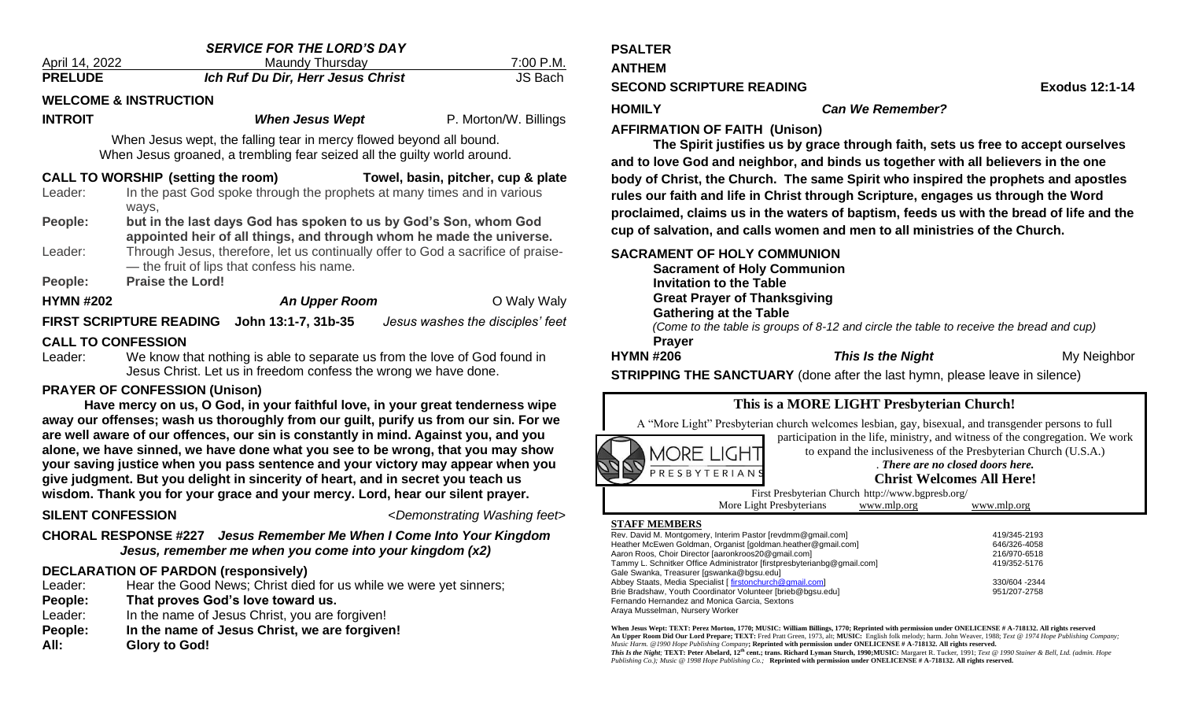| <b>SERVICE FOR THE LORD'S DAY</b>                                                                                                               |                                                                                                                                |                                                                         |  |                       |  |
|-------------------------------------------------------------------------------------------------------------------------------------------------|--------------------------------------------------------------------------------------------------------------------------------|-------------------------------------------------------------------------|--|-----------------------|--|
| April 14, 2022                                                                                                                                  |                                                                                                                                | <b>Maundy Thursday</b>                                                  |  | <u>7:00 P.M.</u>      |  |
| <b>PRELUDE</b>                                                                                                                                  |                                                                                                                                | Ich Ruf Du Dir, Herr Jesus Christ                                       |  | JS Bach               |  |
| <b>WELCOME &amp; INSTRUCTION</b>                                                                                                                |                                                                                                                                |                                                                         |  |                       |  |
| <b>INTROIT</b>                                                                                                                                  |                                                                                                                                | <b>When Jesus Wept</b>                                                  |  | P. Morton/W. Billings |  |
| When Jesus wept, the falling tear in mercy flowed beyond all bound.<br>When Jesus groaned, a trembling fear seized all the guilty world around. |                                                                                                                                |                                                                         |  |                       |  |
| CALL TO WORSHIP (setting the room) Towel, basin, pitcher, cup & plate                                                                           |                                                                                                                                |                                                                         |  |                       |  |
| Leader:                                                                                                                                         |                                                                                                                                | In the past God spoke through the prophets at many times and in various |  |                       |  |
|                                                                                                                                                 | ways,                                                                                                                          |                                                                         |  |                       |  |
| People:                                                                                                                                         | but in the last days God has spoken to us by God's Son, whom God                                                               |                                                                         |  |                       |  |
|                                                                                                                                                 | appointed heir of all things, and through whom he made the universe.                                                           |                                                                         |  |                       |  |
| Leader:                                                                                                                                         | Through Jesus, therefore, let us continually offer to God a sacrifice of praise-<br>- the fruit of lips that confess his name. |                                                                         |  |                       |  |
| People:                                                                                                                                         | <b>Praise the Lord!</b>                                                                                                        |                                                                         |  |                       |  |
|                                                                                                                                                 |                                                                                                                                |                                                                         |  |                       |  |
| <b>HYMN #202</b>                                                                                                                                |                                                                                                                                | <b>An Upper Room</b>                                                    |  | O Waly Waly           |  |
| FIRST SCRIPTURE READING John 13:1-7, 31b-35<br>Jesus washes the disciples' feet                                                                 |                                                                                                                                |                                                                         |  |                       |  |
| <b>CALL TO CONFESSION</b>                                                                                                                       |                                                                                                                                |                                                                         |  |                       |  |
| Leader:                                                                                                                                         | We know that nothing is able to separate us from the love of God found in                                                      |                                                                         |  |                       |  |
|                                                                                                                                                 |                                                                                                                                | Jesus Christ. Let us in freedom confess the wrong we have done.         |  |                       |  |
| <b>PRAYER OF CONFESSION (Unison)</b>                                                                                                            |                                                                                                                                |                                                                         |  |                       |  |
| House margu an us $\Omega$ Cad in your faithful love in your grapt tandarness wing                                                              |                                                                                                                                |                                                                         |  |                       |  |

**Have mercy on us, O God, in your faithful love, in your great tenderness wipe away our offenses; wash us thoroughly from our guilt, purify us from our sin. For we are well aware of our offences, our sin is constantly in mind. Against you, and you alone, we have sinned, we have done what you see to be wrong, that you may show your saving justice when you pass sentence and your victory may appear when you give judgment. But you delight in sincerity of heart, and in secret you teach us wisdom. Thank you for your grace and your mercy. Lord, hear our silent prayer.**

#### **SILENT CONFESSION** <*Demonstrating Washing feet>*

**CHORAL RESPONSE #227** *Jesus Remember Me When I Come Into Your Kingdom Jesus, remember me when you come into your kingdom (x2)*

#### **DECLARATION OF PARDON (responsively)**

- Leader: Hear the Good News; Christ died for us while we were yet sinners;
- **People: That proves God's love toward us.**
- Leader: In the name of Jesus Christ, you are forgiven!
- **People: In the name of Jesus Christ, we are forgiven!**
- **All: Glory to God!**

#### **PSALTER**

**ANTHEM** 

#### **SECOND SCRIPTURE READING EXODE 2018 12:1-14**

**HOMILY** *Can We Remember?*

#### **AFFIRMATION OF FAITH (Unison)**

**The Spirit justifies us by grace through faith, sets us free to accept ourselves and to love God and neighbor, and binds us together with all believers in the one body of Christ, the Church. The same Spirit who inspired the prophets and apostles rules our faith and life in Christ through Scripture, engages us through the Word proclaimed, claims us in the waters of baptism, feeds us with the bread of life and the cup of salvation, and calls women and men to all ministries of the Church.** 

#### **SACRAMENT OF HOLY COMMUNION**

**Sacrament of Holy Communion Invitation to the Table Great Prayer of Thanksgiving Gathering at the Table**  *(Come to the table is groups of 8-12 and circle the table to receive the bread and cup)* **Prayer HYMN** #206 *This Is the Night* **<b>My Neighbor My Neighbor** 

**STRIPPING THE SANCTUARY** (done after the last hymn, please leave in silence) 



| 419/345-2193  |
|---------------|
| 646/326-4058  |
| 216/970-6518  |
| 419/352-5176  |
|               |
| 330/604 -2344 |
| 951/207-2758  |
|               |
|               |
|               |

**When Jesus Wept: TEXT: Perez Morton, 1770; MUSIC: William Billings, 1770; Reprinted with permission under ONELICENSE # A-718132. All rights reserved An Upper Room Did Our Lord Prepare; TEXT:** Fred Pratt Green, 1973, alt; **MUSIC:** English folk melody; harm. John Weaver, 1988; *Text @ 1974 Hope Publishing Company; Music Harm. @1990 Hope Publishing Company***; Reprinted with permission under ONELICENSE # A-718132. All rights reserved.**

*This Is the Night;* **TEXT: Peter Abelard, 12th cent.; trans. Richard Lyman Sturch, 1990;MUSIC:** Margaret R. Tucker, 1991; *Text @ 1990 Stainer & Bell, Ltd. (admin. Hope Publishing Co.); Music @ 1998 Hope Publishing Co.;* **Reprinted with permission under ONELICENSE # A-718132. All rights reserved.**